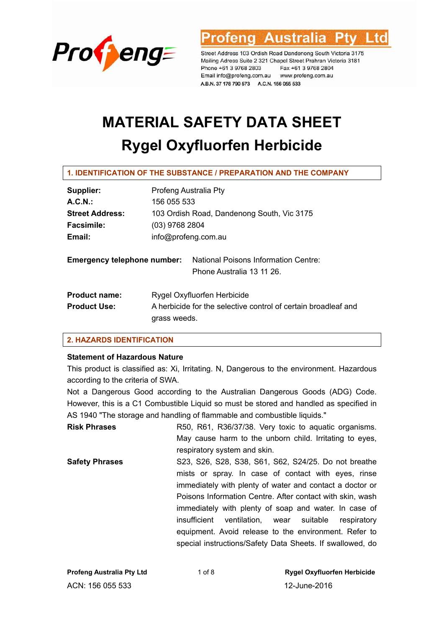

Australia

Street Address 103 Ordish Road Dandenong South Victoria 3175 Mailing Adress Suite 2 321 Chapel Street Prahran Victoria 3181 Phone +61 3 9768 2803 Fax +61 3 9768 2804 Email info@profeng.com.au www.profeng.com.au A.B.N. 37 178 790 573 A.C.N. 156 055 533

# **MATERIAL SAFETY DATA SHEET Rygel Oxyfluorfen Herbicide**

#### **1. IDENTIFICATION OF THE SUBSTANCE / PREPARATION AND THE COMPANY**

| Supplier:                          | Profeng Australia Pty                                             |  |  |
|------------------------------------|-------------------------------------------------------------------|--|--|
| A.C.N.                             | 156 055 533                                                       |  |  |
| <b>Street Address:</b>             | 103 Ordish Road, Dandenong South, Vic 3175                        |  |  |
| <b>Facsimile:</b>                  | $(03)$ 9768 2804                                                  |  |  |
| Email:                             | info@profeng.com.au                                               |  |  |
| <b>Emergency telephone number:</b> | National Poisons Information Centre:<br>Phone Australia 13 11 26. |  |  |
| <b>Product name:</b>               | Rygel Oxyfluorfen Herbicide                                       |  |  |
| <b>Product Use:</b>                | A herbicide for the selective control of certain broadleaf and    |  |  |
|                                    | grass weeds.                                                      |  |  |

#### **2. HAZARDS IDENTIFICATION**

#### **Statement of Hazardous Nature**

This product is classified as: Xi, Irritating. N, Dangerous to the environment. Hazardous according to the criteria of SWA.

Not a Dangerous Good according to the Australian Dangerous Goods (ADG) Code. However, this is a C1 Combustible Liquid so must be stored and handled as specified in AS 1940 "The storage and handling of flammable and combustible liquids."

**Risk Phrases R50, R61, R36/37/38. Very toxic to aquatic organisms.** May cause harm to the unborn child. Irritating to eyes, respiratory system and skin.

**Safety Phrases** S23, S26, S28, S38, S61, S62, S24/25. Do not breathe mists or spray. In case of contact with eyes, rinse immediately with plenty of water and contact a doctor or Poisons Information Centre. After contact with skin, wash immediately with plenty of soap and water. In case of insufficient ventilation, wear suitable respiratory equipment. Avoid release to the environment. Refer to special instructions/Safety Data Sheets. If swallowed, do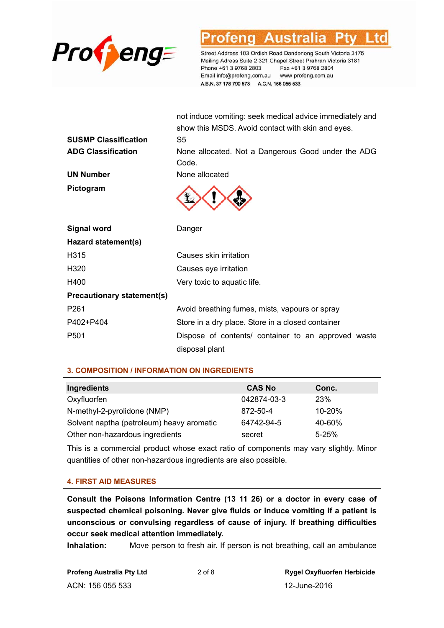

Austra

Street Address 103 Ordish Road Dandenong South Victoria 3175 Mailing Adress Suite 2 321 Chapel Street Prahran Victoria 3181 Phone +61 3 9768 2803 Fax +61 3 9768 2804 Email info@profeng.com.au www.profeng.com.au A.B.N. 37 178 790 573 A.C.N. 156 055 533

not induce vomiting: seek medical advice immediately and

|                                   | show this MSDS. Avoid contact with skin and eyes.           |
|-----------------------------------|-------------------------------------------------------------|
| <b>SUSMP Classification</b>       | S5                                                          |
| <b>ADG Classification</b>         | None allocated. Not a Dangerous Good under the ADG<br>Code. |
| <b>UN Number</b>                  | None allocated                                              |
| Pictogram                         |                                                             |
| <b>Signal word</b>                | Danger                                                      |
| Hazard statement(s)               |                                                             |
| H315                              | Causes skin irritation                                      |
| H320                              | Causes eye irritation                                       |
| H400                              | Very toxic to aquatic life.                                 |
| <b>Precautionary statement(s)</b> |                                                             |
| P261                              | Avoid breathing fumes, mists, vapours or spray              |
| P402+P404                         | Store in a dry place. Store in a closed container           |
| P501                              | Dispose of contents/ container to an approved waste         |
|                                   | disposal plant                                              |

| <b>3. COMPOSITION / INFORMATION ON INGREDIENTS</b> |               |           |  |  |
|----------------------------------------------------|---------------|-----------|--|--|
| Ingredients                                        | <b>CAS No</b> | Conc.     |  |  |
| Oxyfluorfen                                        | 042874-03-3   | 23%       |  |  |
| N-methyl-2-pyrolidone (NMP)                        | 872-50-4      | 10-20%    |  |  |
| Solvent naptha (petroleum) heavy aromatic          | 64742-94-5    | 40-60%    |  |  |
| Other non-hazardous ingredients                    | secret        | $5 - 25%$ |  |  |

This is a commercial product whose exact ratio of components may vary slightly. Minor quantities of other non-hazardous ingredients are also possible.

#### **4. FIRST AID MEASURES**

**Consult the Poisons Information Centre (13 11 26) or a doctor in every case of suspected chemical poisoning. Never give fluids or induce vomiting if a patient is unconscious or convulsing regardless of cause of injury. If breathing difficulties occur seek medical attention immediately.** 

**Inhalation:** Move person to fresh air. If person is not breathing, call an ambulance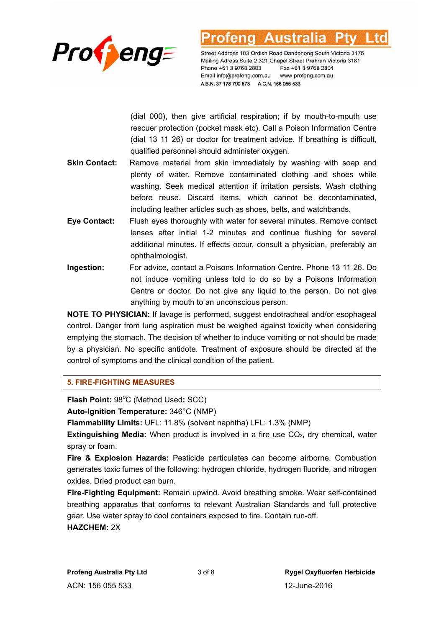

(dial 000), then give artificial respiration; if by mouth-to-mouth use rescuer protection (pocket mask etc). Call a Poison Information Centre (dial 13 11 26) or doctor for treatment advice. If breathing is difficult, qualified personnel should administer oxygen.

- **Skin Contact:** Remove material from skin immediately by washing with soap and plenty of water. Remove contaminated clothing and shoes while washing. Seek medical attention if irritation persists. Wash clothing before reuse. Discard items, which cannot be decontaminated, including leather articles such as shoes, belts, and watchbands.
- **Eye Contact:** Flush eyes thoroughly with water for several minutes. Remove contact lenses after initial 1-2 minutes and continue flushing for several additional minutes. If effects occur, consult a physician, preferably an ophthalmologist.
- **Ingestion:** For advice, contact a Poisons Information Centre. Phone 13 11 26. Do not induce vomiting unless told to do so by a Poisons Information Centre or doctor. Do not give any liquid to the person. Do not give anything by mouth to an unconscious person.

**NOTE TO PHYSICIAN:** If lavage is performed, suggest endotracheal and/or esophageal control. Danger from lung aspiration must be weighed against toxicity when considering emptying the stomach. The decision of whether to induce vomiting or not should be made by a physician. No specific antidote. Treatment of exposure should be directed at the control of symptoms and the clinical condition of the patient.

#### **5. FIRE-FIGHTING MEASURES**

Flash Point: 98°C (Method Used: SCC)

**Auto-Ignition Temperature:** 346°C (NMP)

**Flammability Limits:** UFL: 11.8% (solvent naphtha) LFL: 1.3% (NMP)

**Extinguishing Media:** When product is involved in a fire use CO<sub>2</sub>, dry chemical, water spray or foam.

**Fire & Explosion Hazards:** Pesticide particulates can become airborne. Combustion generates toxic fumes of the following: hydrogen chloride, hydrogen fluoride, and nitrogen oxides. Dried product can burn.

**Fire-Fighting Equipment:** Remain upwind. Avoid breathing smoke. Wear self-contained breathing apparatus that conforms to relevant Australian Standards and full protective gear. Use water spray to cool containers exposed to fire. Contain run-off.

**HAZCHEM:** 2X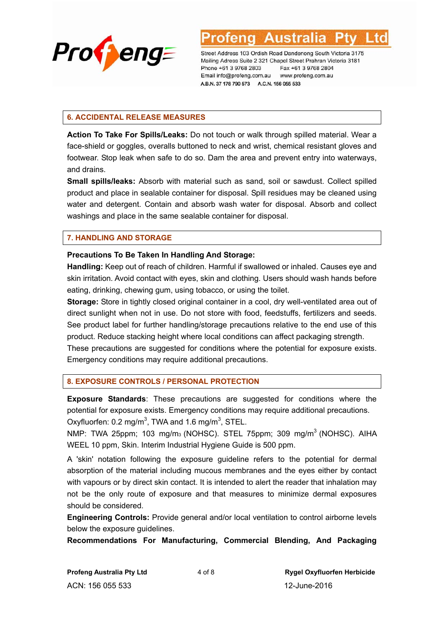

#### **6. ACCIDENTAL RELEASE MEASURES**

**Action To Take For Spills/Leaks:** Do not touch or walk through spilled material. Wear a face-shield or goggles, overalls buttoned to neck and wrist, chemical resistant gloves and footwear. Stop leak when safe to do so. Dam the area and prevent entry into waterways, and drains.

**Small spills/leaks:** Absorb with material such as sand, soil or sawdust. Collect spilled product and place in sealable container for disposal. Spill residues may be cleaned using water and detergent. Contain and absorb wash water for disposal. Absorb and collect washings and place in the same sealable container for disposal.

#### **7. HANDLING AND STORAGE**

#### **Precautions To Be Taken In Handling And Storage:**

**Handling:** Keep out of reach of children. Harmful if swallowed or inhaled. Causes eye and skin irritation. Avoid contact with eyes, skin and clothing. Users should wash hands before eating, drinking, chewing gum, using tobacco, or using the toilet.

**Storage:** Store in tightly closed original container in a cool, dry well-ventilated area out of direct sunlight when not in use. Do not store with food, feedstuffs, fertilizers and seeds. See product label for further handling/storage precautions relative to the end use of this product. Reduce stacking height where local conditions can affect packaging strength. These precautions are suggested for conditions where the potential for exposure exists. Emergency conditions may require additional precautions.

## **8. EXPOSURE CONTROLS / PERSONAL PROTECTION**

**Exposure Standards**: These precautions are suggested for conditions where the potential for exposure exists. Emergency conditions may require additional precautions. Oxyfluorfen:  $0.2 \text{ mg/m}^3$ , TWA and  $1.6 \text{ mg/m}^3$ , STEL.

NMP: TWA 25ppm; 103 mg/m<sub>3</sub> (NOHSC). STEL 75ppm; 309 mg/m<sup>3</sup> (NOHSC). AIHA WEEL 10 ppm, Skin. Interim Industrial Hygiene Guide is 500 ppm.

A 'skin' notation following the exposure guideline refers to the potential for dermal absorption of the material including mucous membranes and the eyes either by contact with vapours or by direct skin contact. It is intended to alert the reader that inhalation may not be the only route of exposure and that measures to minimize dermal exposures should be considered.

**Engineering Controls:** Provide general and/or local ventilation to control airborne levels below the exposure guidelines.

**Recommendations For Manufacturing, Commercial Blending, And Packaging**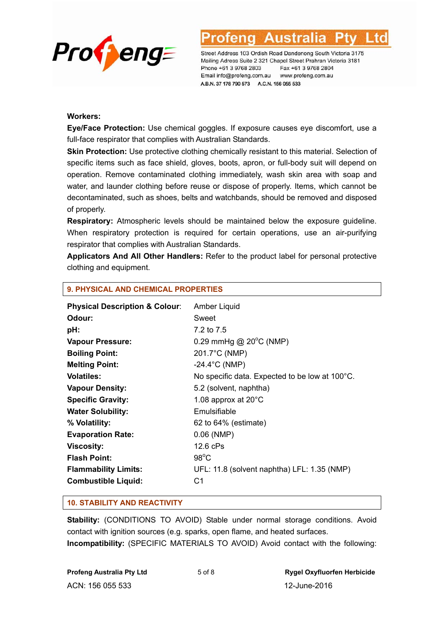

#### **Workers:**

**Eye/Face Protection:** Use chemical goggles. If exposure causes eye discomfort, use a full-face respirator that complies with Australian Standards.

**Skin Protection:** Use protective clothing chemically resistant to this material. Selection of specific items such as face shield, gloves, boots, apron, or full-body suit will depend on operation. Remove contaminated clothing immediately, wash skin area with soap and water, and launder clothing before reuse or dispose of properly. Items, which cannot be decontaminated, such as shoes, belts and watchbands, should be removed and disposed of properly.

**Respiratory:** Atmospheric levels should be maintained below the exposure guideline. When respiratory protection is required for certain operations, use an air-purifying respirator that complies with Australian Standards.

**Applicators And All Other Handlers:** Refer to the product label for personal protective clothing and equipment.

| <b>Physical Description &amp; Colour:</b> | Amber Liquid                                   |
|-------------------------------------------|------------------------------------------------|
| Odour:                                    | Sweet                                          |
| pH:                                       | 7.2 to 7.5                                     |
| <b>Vapour Pressure:</b>                   | 0.29 mmHg @ $20^{\circ}$ C (NMP)               |
| <b>Boiling Point:</b>                     | 201.7°C (NMP)                                  |
| <b>Melting Point:</b>                     | $-24.4^{\circ}$ C (NMP)                        |
| <b>Volatiles:</b>                         | No specific data. Expected to be low at 100°C. |
| <b>Vapour Density:</b>                    | 5.2 (solvent, naphtha)                         |
| <b>Specific Gravity:</b>                  | 1.08 approx at $20^{\circ}$ C                  |
| <b>Water Solubility:</b>                  | Emulsifiable                                   |
| % Volatility:                             | 62 to 64% (estimate)                           |
| <b>Evaporation Rate:</b>                  | $0.06$ (NMP)                                   |
| <b>Viscosity:</b>                         | 12.6 cPs                                       |
| <b>Flash Point:</b>                       | $98^{\circ}$ C                                 |
| <b>Flammability Limits:</b>               | UFL: 11.8 (solvent naphtha) LFL: 1.35 (NMP)    |
| <b>Combustible Liquid:</b>                | C1                                             |
|                                           |                                                |

## **9. PHYSICAL AND CHEMICAL PROPERTIES**

#### **10. STABILITY AND REACTIVITY**

**Stability:** (CONDITIONS TO AVOID) Stable under normal storage conditions. Avoid contact with ignition sources (e.g. sparks, open flame, and heated surfaces. **Incompatibility:** (SPECIFIC MATERIALS TO AVOID) Avoid contact with the following:

ACN: 156 055 533 12-June-2016

**Profeng Australia Pty Ltd** 5 of 8 **Rygel Oxyfluorfen Herbicide**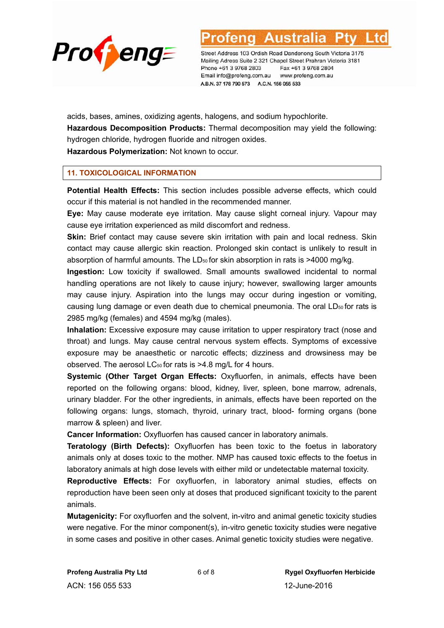

Australia

Street Address 103 Ordish Road Dandenong South Victoria 3175 Mailing Adress Suite 2 321 Chapel Street Prahran Victoria 3181 Phone +61 3 9768 2803 Fax +61 3 9768 2804 Email info@profeng.com.au www.profeng.com.au A.B.N. 37 178 790 573 A.C.N. 156 055 533

acids, bases, amines, oxidizing agents, halogens, and sodium hypochlorite. **Hazardous Decomposition Products:** Thermal decomposition may yield the following: hydrogen chloride, hydrogen fluoride and nitrogen oxides. **Hazardous Polymerization:** Not known to occur.

**11. TOXICOLOGICAL INFORMATION** 

**Potential Health Effects:** This section includes possible adverse effects, which could occur if this material is not handled in the recommended manner.

**Eye:** May cause moderate eye irritation. May cause slight corneal injury. Vapour may cause eye irritation experienced as mild discomfort and redness.

**Skin:** Brief contact may cause severe skin irritation with pain and local redness. Skin contact may cause allergic skin reaction. Prolonged skin contact is unlikely to result in absorption of harmful amounts. The  $LD_{50}$  for skin absorption in rats is  $>4000$  mg/kg.

**Ingestion:** Low toxicity if swallowed. Small amounts swallowed incidental to normal handling operations are not likely to cause injury; however, swallowing larger amounts may cause injury. Aspiration into the lungs may occur during ingestion or vomiting, causing lung damage or even death due to chemical pneumonia. The oral  $LD<sub>50</sub>$  for rats is 2985 mg/kg (females) and 4594 mg/kg (males).

**Inhalation:** Excessive exposure may cause irritation to upper respiratory tract (nose and throat) and lungs. May cause central nervous system effects. Symptoms of excessive exposure may be anaesthetic or narcotic effects; dizziness and drowsiness may be observed. The aerosol LC<sub>50</sub> for rats is >4.8 mg/L for 4 hours.

**Systemic (Other Target Organ Effects:** Oxyfluorfen, in animals, effects have been reported on the following organs: blood, kidney, liver, spleen, bone marrow, adrenals, urinary bladder. For the other ingredients, in animals, effects have been reported on the following organs: lungs, stomach, thyroid, urinary tract, blood- forming organs (bone marrow & spleen) and liver.

**Cancer Information:** Oxyfluorfen has caused cancer in laboratory animals.

**Teratology (Birth Defects):** Oxyfluorfen has been toxic to the foetus in laboratory animals only at doses toxic to the mother. NMP has caused toxic effects to the foetus in laboratory animals at high dose levels with either mild or undetectable maternal toxicity.

**Reproductive Effects:** For oxyfluorfen, in laboratory animal studies, effects on reproduction have been seen only at doses that produced significant toxicity to the parent animals.

**Mutagenicity:** For oxyfluorfen and the solvent, in-vitro and animal genetic toxicity studies were negative. For the minor component(s), in-vitro genetic toxicity studies were negative in some cases and positive in other cases. Animal genetic toxicity studies were negative.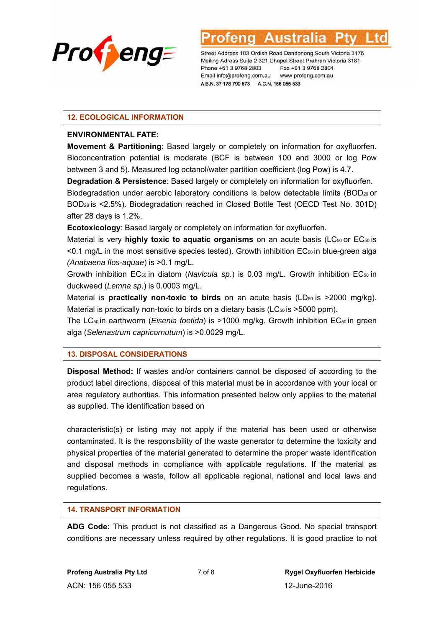

#### **12. ECOLOGICAL INFORMATION**

#### **ENVIRONMENTAL FATE:**

**Movement & Partitioning**: Based largely or completely on information for oxyfluorfen. Bioconcentration potential is moderate (BCF is between 100 and 3000 or log Pow between 3 and 5). Measured log octanol/water partition coefficient (log Pow) is 4.7.

**Degradation & Persistence**: Based largely or completely on information for oxyfluorfen. Biodegradation under aerobic laboratory conditions is below detectable limits (BOD<sub>20</sub> or BOD28 is <2.5%). Biodegradation reached in Closed Bottle Test (OECD Test No. 301D) after 28 days is 1.2%.

**Ecotoxicology**: Based largely or completely on information for oxyfluorfen.

Material is very **highly toxic to aquatic organisms** on an acute basis (LC<sub>50</sub> or EC<sub>50</sub> is <0.1 mg/L in the most sensitive species tested). Growth inhibition EC<sub>50</sub> in blue-green alga *(Anabaena flos-aquae*) is >0.1 mg/L.

Growth inhibition EC50 in diatom (*Navicula sp*.) is 0.03 mg/L. Growth inhibition EC50 in duckweed (*Lemna sp*.) is 0.0003 mg/L.

Material is **practically non-toxic to birds** on an acute basis (LD<sub>50</sub> is >2000 mg/kg). Material is practically non-toxic to birds on a dietary basis ( $LC_{50}$  is  $>5000$  ppm).

The LC<sub>50</sub> in earthworm (*Eisenia foetida*) is >1000 mg/kg. Growth inhibition EC<sub>50</sub> in green alga (*Selenastrum capricornutum*) is >0.0029 mg/L.

## **13. DISPOSAL CONSIDERATIONS**

**Disposal Method:** If wastes and/or containers cannot be disposed of according to the product label directions, disposal of this material must be in accordance with your local or area regulatory authorities. This information presented below only applies to the material as supplied. The identification based on

characteristic(s) or listing may not apply if the material has been used or otherwise contaminated. It is the responsibility of the waste generator to determine the toxicity and physical properties of the material generated to determine the proper waste identification and disposal methods in compliance with applicable regulations. If the material as supplied becomes a waste, follow all applicable regional, national and local laws and regulations.

## **14. TRANSPORT INFORMATION**

**ADG Code:** This product is not classified as a Dangerous Good. No special transport conditions are necessary unless required by other regulations. It is good practice to not